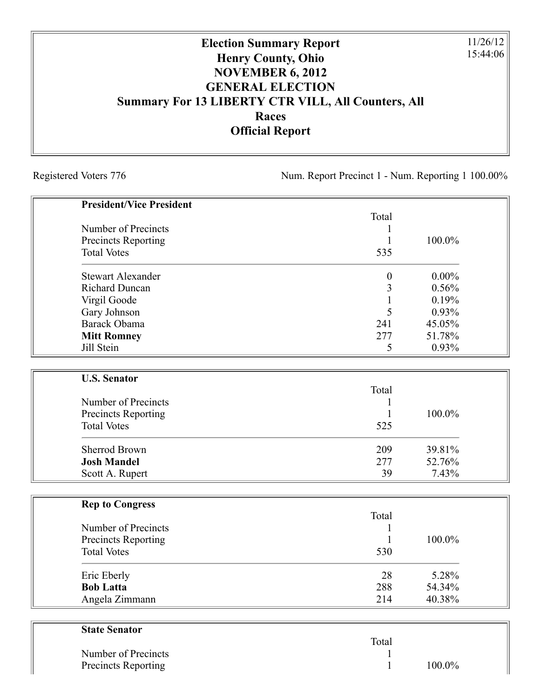## **Election Summary Report Henry County, Ohio NOVEMBER 6, 2012 GENERAL ELECTION Summary For 13 LIBERTY CTR VILL, All Counters, All Races Official Report**

Registered Voters 776 Num. Report Precinct 1 - Num. Reporting 1 100.00%

11/26/12 15:44:06

| <b>President/Vice President</b> |                  |          |
|---------------------------------|------------------|----------|
|                                 | Total            |          |
| Number of Precincts             | 1                |          |
| <b>Precincts Reporting</b>      | 1                | 100.0%   |
| <b>Total Votes</b>              | 535              |          |
| <b>Stewart Alexander</b>        | $\boldsymbol{0}$ | $0.00\%$ |
| <b>Richard Duncan</b>           | 3                | 0.56%    |
| Virgil Goode                    | 1                | 0.19%    |
| Gary Johnson                    | 5                | 0.93%    |
| <b>Barack Obama</b>             | 241              | 45.05%   |
| <b>Mitt Romney</b>              | 277              | 51.78%   |
| Jill Stein                      | 5                | 0.93%    |
|                                 |                  |          |
| <b>U.S. Senator</b>             | Total            |          |
| Number of Precincts             | 1                |          |
| <b>Precincts Reporting</b>      | 1                | 100.0%   |
| <b>Total Votes</b>              | 525              |          |
|                                 |                  |          |
| <b>Sherrod Brown</b>            | 209              | 39.81%   |
| <b>Josh Mandel</b>              | 277              | 52.76%   |
| Scott A. Rupert                 | 39               | 7.43%    |
|                                 |                  |          |
| <b>Rep to Congress</b>          | Total            |          |
| Number of Precincts             | 1                |          |
| <b>Precincts Reporting</b>      | 1                | 100.0%   |
| <b>Total Votes</b>              | 530              |          |
| Eric Eberly                     | 28               | 5.28%    |
| <b>Bob Latta</b>                | 288              | 54.34%   |
| Angela Zimmann                  | 214              | 40.38%   |

| State Senator              |       |        |
|----------------------------|-------|--------|
|                            | Total |        |
| Number of Precincts        |       |        |
| <b>Precincts Reporting</b> |       | 100.0% |
|                            |       |        |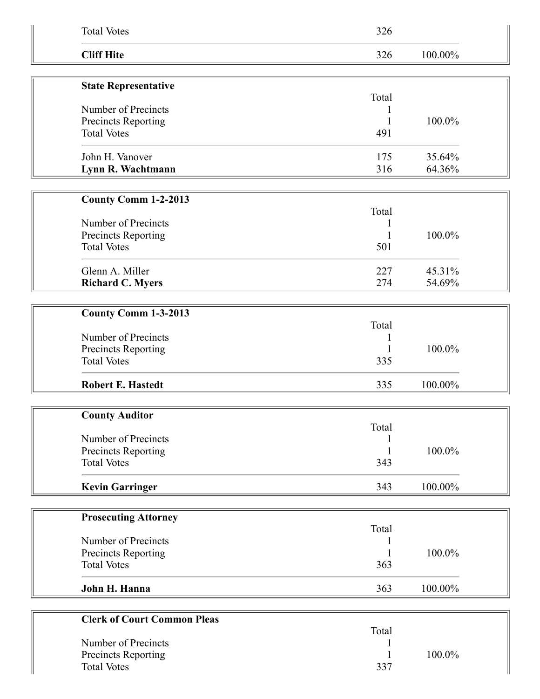| <b>Total Votes</b>                        | 326      |         |  |
|-------------------------------------------|----------|---------|--|
| <b>Cliff Hite</b>                         | 326      | 100.00% |  |
| <b>State Representative</b>               |          |         |  |
|                                           | Total    |         |  |
| Number of Precincts                       |          |         |  |
| Precincts Reporting                       |          | 100.0%  |  |
| <b>Total Votes</b>                        | 491      |         |  |
| John H. Vanover                           | 175      | 35.64%  |  |
| Lynn R. Wachtmann                         | 316      | 64.36%  |  |
|                                           |          |         |  |
| <b>County Comm 1-2-2013</b>               |          |         |  |
|                                           | Total    |         |  |
| Number of Precincts                       |          | 100.0%  |  |
| Precincts Reporting<br><b>Total Votes</b> | 501      |         |  |
|                                           |          |         |  |
| Glenn A. Miller                           | 227      | 45.31%  |  |
| <b>Richard C. Myers</b>                   | 274      | 54.69%  |  |
|                                           |          |         |  |
| County Comm 1-3-2013                      | Total    |         |  |
| Number of Precincts                       |          |         |  |
| Precincts Reporting                       | 1        | 100.0%  |  |
| <b>Total Votes</b>                        | 335      |         |  |
| <b>Robert E. Hastedt</b>                  | 335      | 100.00% |  |
|                                           |          |         |  |
| <b>County Auditor</b>                     |          |         |  |
|                                           | Total    |         |  |
| Number of Precincts                       |          |         |  |
| Precincts Reporting<br><b>Total Votes</b> | 1<br>343 | 100.0%  |  |
|                                           |          |         |  |
| <b>Kevin Garringer</b>                    | 343      | 100.00% |  |
|                                           |          |         |  |
| <b>Prosecuting Attorney</b>               | Total    |         |  |
| Number of Precincts                       |          |         |  |
| Precincts Reporting                       |          | 100.0%  |  |
| <b>Total Votes</b>                        | 363      |         |  |
| John H. Hanna                             | 363      | 100.00% |  |
|                                           |          |         |  |
| <b>Clerk of Court Common Pleas</b>        |          |         |  |
|                                           | Total    |         |  |
| Number of Precincts                       |          |         |  |
| Precincts Reporting                       |          | 100.0%  |  |
| <b>Total Votes</b>                        | 337      |         |  |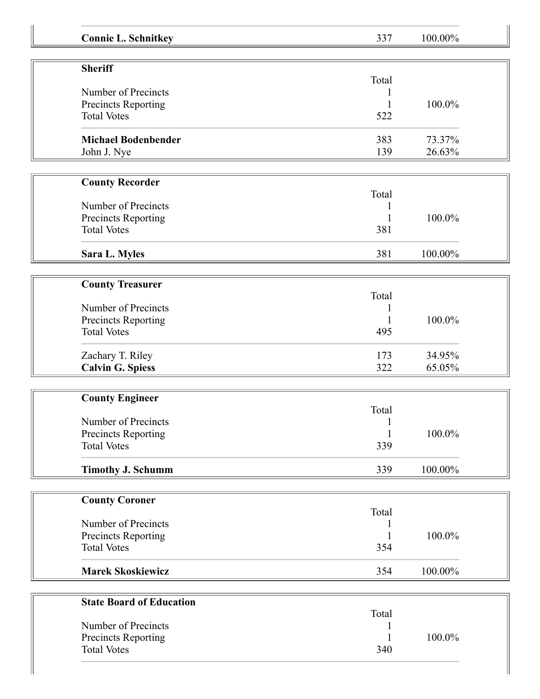| <b>Connie L. Schnitkey</b>      | 337   | 100.00% |
|---------------------------------|-------|---------|
| <b>Sheriff</b>                  |       |         |
|                                 | Total |         |
| Number of Precincts             |       |         |
| Precincts Reporting             |       | 100.0%  |
| <b>Total Votes</b>              | 522   |         |
| <b>Michael Bodenbender</b>      | 383   | 73.37%  |
| John J. Nye                     | 139   | 26.63%  |
| <b>County Recorder</b>          |       |         |
|                                 | Total |         |
| Number of Precincts             |       |         |
| <b>Precincts Reporting</b>      |       | 100.0%  |
| <b>Total Votes</b>              | 381   |         |
|                                 |       |         |
| Sara L. Myles                   | 381   | 100.00% |
| <b>County Treasurer</b>         |       |         |
|                                 | Total |         |
| Number of Precincts             |       |         |
| Precincts Reporting             |       | 100.0%  |
| <b>Total Votes</b>              | 495   |         |
| Zachary T. Riley                | 173   | 34.95%  |
| <b>Calvin G. Spiess</b>         | 322   | 65.05%  |
|                                 |       |         |
| <b>County Engineer</b>          | Total |         |
| Number of Precincts             |       |         |
| Precincts Reporting             |       | 100.0%  |
| <b>Total Votes</b>              | 339   |         |
|                                 |       |         |
| <b>Timothy J. Schumm</b>        | 339   | 100.00% |
| <b>County Coroner</b>           |       |         |
|                                 | Total |         |
| Number of Precincts             |       |         |
| Precincts Reporting             | 1     | 100.0%  |
| <b>Total Votes</b>              | 354   |         |
| <b>Marek Skoskiewicz</b>        | 354   | 100.00% |
| <b>State Board of Education</b> |       |         |
|                                 |       |         |
|                                 | Total |         |
| Number of Precincts             |       |         |
| Precincts Reporting             |       | 100.0%  |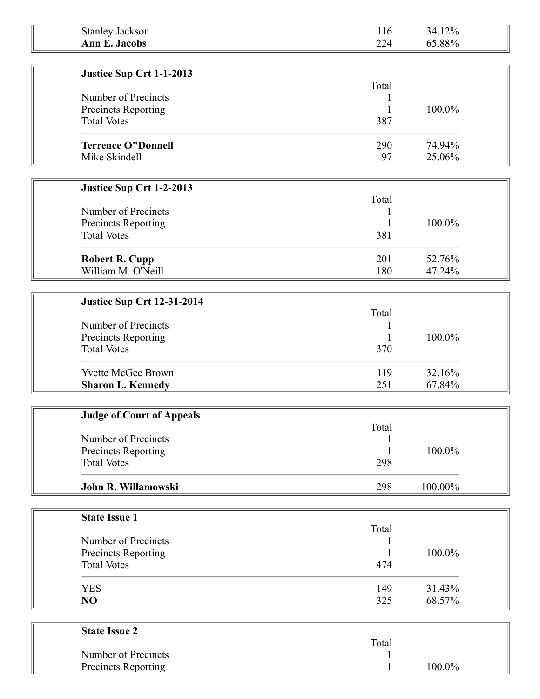| <b>Stanley Jackson</b>            | 116   | 34.12%  |
|-----------------------------------|-------|---------|
| <b>Ann E. Jacobs</b>              | 224   | 65.88%  |
|                                   |       |         |
| Justice Sup Crt 1-1-2013          |       |         |
| Number of Precincts               | Total |         |
| Precincts Reporting               |       | 100.0%  |
| <b>Total Votes</b>                | 387   |         |
|                                   |       |         |
| <b>Terrence O"Donnell</b>         | 290   | 74.94%  |
| Mike Skindell                     | 97    | 25.06%  |
|                                   |       |         |
| Justice Sup Crt 1-2-2013          |       |         |
|                                   | Total |         |
| Number of Precincts               |       |         |
| Precincts Reporting               |       | 100.0%  |
| <b>Total Votes</b>                | 381   |         |
|                                   |       |         |
| <b>Robert R. Cupp</b>             | 201   | 52.76%  |
| William M. O'Neill                | 180   | 47.24%  |
|                                   |       |         |
| <b>Justice Sup Crt 12-31-2014</b> |       |         |
|                                   | Total |         |
| Number of Precincts               |       |         |
| Precincts Reporting               |       | 100.0%  |
| <b>Total Votes</b>                | 370   |         |
| Yvette McGee Brown                | 119   | 32.16%  |
| <b>Sharon L. Kennedy</b>          | 251   | 67.84%  |
|                                   |       |         |
|                                   |       |         |
| <b>Judge of Court of Appeals</b>  | Total |         |
| Number of Precincts               |       |         |
| Precincts Reporting               |       | 100.0%  |
| <b>Total Votes</b>                | 298   |         |
|                                   |       |         |
| John R. Willamowski               | 298   | 100.00% |
|                                   |       |         |
| <b>State Issue 1</b>              |       |         |
|                                   | Total |         |
| Number of Precincts               |       |         |
| Precincts Reporting               |       | 100.0%  |
| <b>Total Votes</b>                | 474   |         |
| <b>YES</b>                        | 149   | 31.43%  |
| NO                                | 325   | 68.57%  |
|                                   |       |         |
|                                   |       |         |
| <b>State Issue 2</b>              |       |         |
|                                   | Total |         |

|                     | Total |           |
|---------------------|-------|-----------|
| Number of Precincts |       |           |
| Precincts Reporting |       | $100.0\%$ |